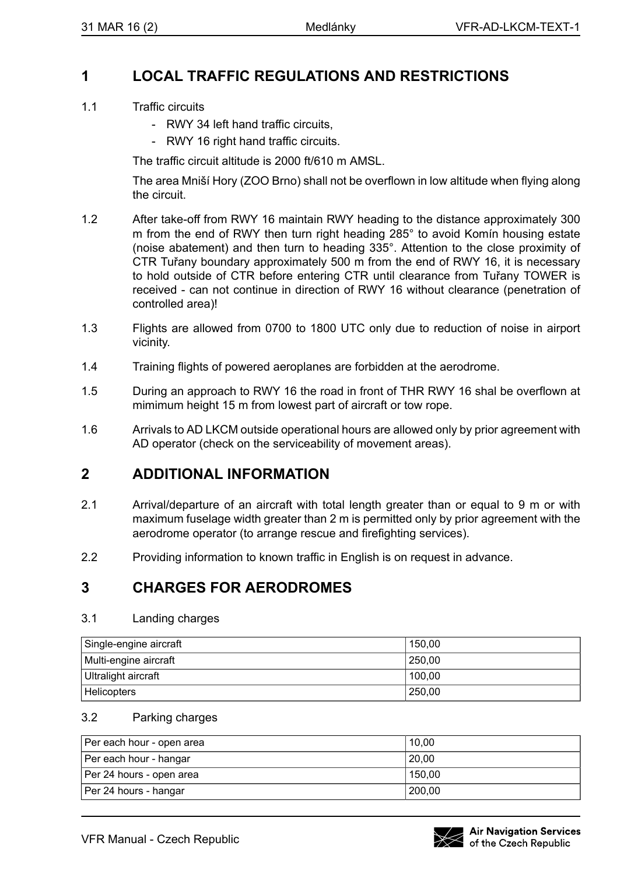## **1 LOCAL TRAFFIC REGULATIONS AND RESTRICTIONS**

- 1.1 Traffic circuits
	- RWY 34 left hand traffic circuits
	- RWY 16 right hand traffic circuits.

The traffic circuit altitude is 2000 ft/610 m AMSL.

The area Mniší Hory (ZOO Brno) shall not be overflown in low altitude when flying along the circuit.

- 1.2 After take-off from RWY 16 maintain RWY heading to the distance approximately 300 m from the end of RWY then turn right heading 285° to avoid Komín housing estate (noise abatement) and then turn to heading 335°. Attention to the close proximity of CTR Tuřany boundary approximately 500 m from the end of RWY 16, it is necessary to hold outside of CTR before entering CTR until clearance from Tuřany TOWER is received - can not continue in direction of RWY 16 without clearance (penetration of controlled area)!
- 1.3 Flights are allowed from 0700 to 1800 UTC only due to reduction of noise in airport vicinity.
- 1.4 Training flights of powered aeroplanes are forbidden at the aerodrome.
- 1.5 During an approach to RWY 16 the road in front of THR RWY 16 shal be overflown at mimimum height 15 m from lowest part of aircraft or tow rope.
- 1.6 Arrivals to AD LKCM outside operational hours are allowed only by prior agreement with AD operator (check on the serviceability of movement areas).

## **2 ADDITIONAL INFORMATION**

- 2.1 Arrival/departure of an aircraft with total length greater than or equal to 9 m or with maximum fuselage width greater than 2 m is permitted only by prior agreement with the aerodrome operator (to arrange rescue and firefighting services).
- 2.2 Providing information to known traffic in English is on request in advance.

# **3 CHARGES FOR AERODROMES**

#### 3.1 Landing charges

| Single-engine aircraft | 150.00 |
|------------------------|--------|
| Multi-engine aircraft  | 250.00 |
| Ultralight aircraft    | 100.00 |
| <b>Helicopters</b>     | 250.00 |

### 3.2 Parking charges

| Per each hour - open area | 10.00  |
|---------------------------|--------|
| Per each hour - hangar    | 20.00  |
| Per 24 hours - open area  | 150.00 |
| Per 24 hours - hangar     | 200.00 |